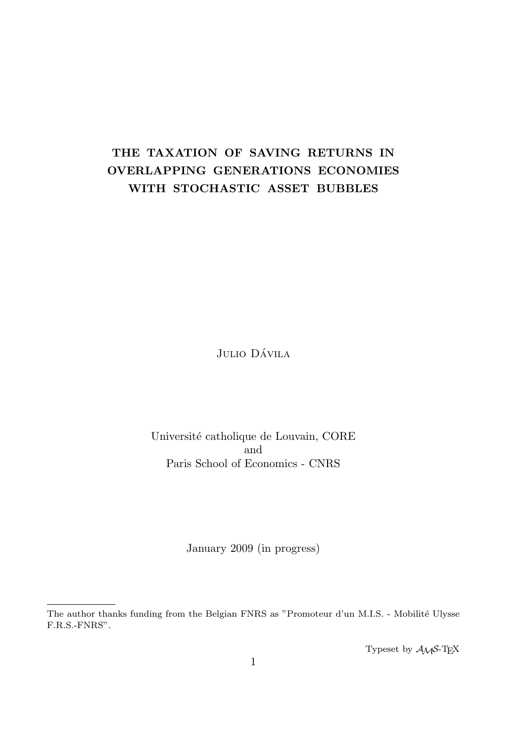# THE TAXATION OF SAVING RETURNS IN OVERLAPPING GENERATIONS ECONOMIES WITH STOCHASTIC ASSET BUBBLES

Julio Dávila

Université catholique de Louvain, CORE and Paris School of Economics - CNRS

January 2009 (in progress)

Typeset by  $A_{\mathcal{M}}S$ -T<sub>E</sub>X

The author thanks funding from the Belgian FNRS as "Promoteur d'un M.I.S. - Mobilité Ulysse F.R.S.-FNRS".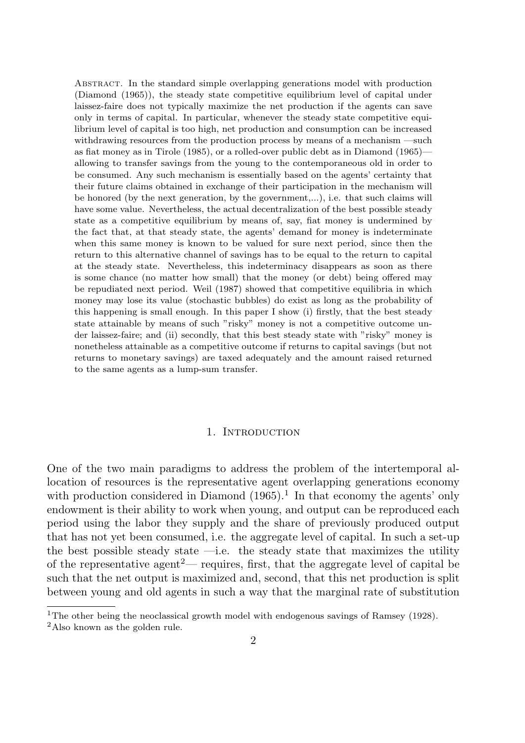Abstract. In the standard simple overlapping generations model with production (Diamond (1965)), the steady state competitive equilibrium level of capital under laissez-faire does not typically maximize the net production if the agents can save only in terms of capital. In particular, whenever the steady state competitive equilibrium level of capital is too high, net production and consumption can be increased withdrawing resources from the production process by means of a mechanism —such as fiat money as in Tirole (1985), or a rolled-over public debt as in Diamond (1965) allowing to transfer savings from the young to the contemporaneous old in order to be consumed. Any such mechanism is essentially based on the agents' certainty that their future claims obtained in exchange of their participation in the mechanism will be honored (by the next generation, by the government,...), i.e. that such claims will have some value. Nevertheless, the actual decentralization of the best possible steady state as a competitive equilibrium by means of, say, fiat money is undermined by the fact that, at that steady state, the agents' demand for money is indeterminate when this same money is known to be valued for sure next period, since then the return to this alternative channel of savings has to be equal to the return to capital at the steady state. Nevertheless, this indeterminacy disappears as soon as there is some chance (no matter how small) that the money (or debt) being offered may be repudiated next period. Weil (1987) showed that competitive equilibria in which money may lose its value (stochastic bubbles) do exist as long as the probability of this happening is small enough. In this paper I show (i) firstly, that the best steady state attainable by means of such "risky" money is not a competitive outcome under laissez-faire; and (ii) secondly, that this best steady state with "risky" money is nonetheless attainable as a competitive outcome if returns to capital savings (but not returns to monetary savings) are taxed adequately and the amount raised returned to the same agents as a lump-sum transfer.

## 1. INTRODUCTION

One of the two main paradigms to address the problem of the intertemporal allocation of resources is the representative agent overlapping generations economy with production considered in Diamond  $(1965).<sup>1</sup>$  In that economy the agents' only endowment is their ability to work when young, and output can be reproduced each period using the labor they supply and the share of previously produced output that has not yet been consumed, i.e. the aggregate level of capital. In such a set-up the best possible steady state  $\rightarrow$ i.e. the steady state that maximizes the utility of the representative agent<sup>2</sup>— requires, first, that the aggregate level of capital be such that the net output is maximized and, second, that this net production is split between young and old agents in such a way that the marginal rate of substitution

<sup>&</sup>lt;sup>1</sup>The other being the neoclassical growth model with endogenous savings of Ramsey (1928). <sup>2</sup>Also known as the golden rule.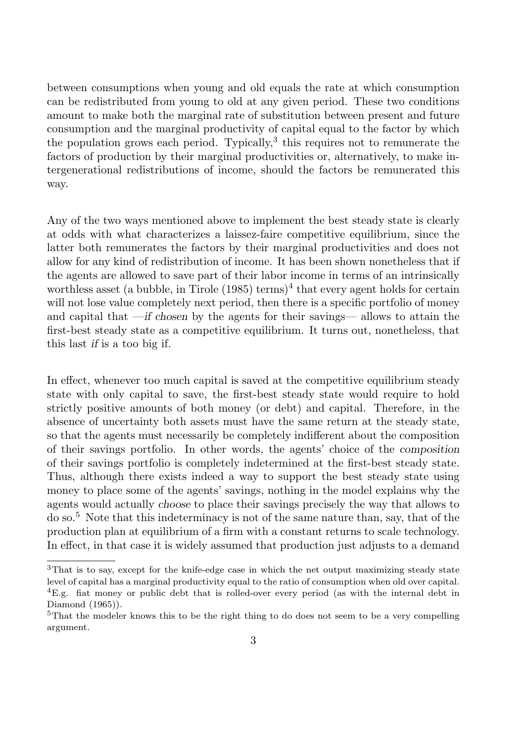between consumptions when young and old equals the rate at which consumption can be redistributed from young to old at any given period. These two conditions amount to make both the marginal rate of substitution between present and future consumption and the marginal productivity of capital equal to the factor by which the population grows each period. Typically, $3$  this requires not to remunerate the factors of production by their marginal productivities or, alternatively, to make intergenerational redistributions of income, should the factors be remunerated this way.

Any of the two ways mentioned above to implement the best steady state is clearly at odds with what characterizes a laissez-faire competitive equilibrium, since the latter both remunerates the factors by their marginal productivities and does not allow for any kind of redistribution of income. It has been shown nonetheless that if the agents are allowed to save part of their labor income in terms of an intrinsically worthless asset (a bubble, in Tirole  $(1985)$  terms)<sup>4</sup> that every agent holds for certain will not lose value completely next period, then there is a specific portfolio of money and capital that —if chosen by the agents for their savings— allows to attain the first-best steady state as a competitive equilibrium. It turns out, nonetheless, that this last if is a too big if.

In effect, whenever too much capital is saved at the competitive equilibrium steady state with only capital to save, the first-best steady state would require to hold strictly positive amounts of both money (or debt) and capital. Therefore, in the absence of uncertainty both assets must have the same return at the steady state, so that the agents must necessarily be completely indifferent about the composition of their savings portfolio. In other words, the agents' choice of the composition of their savings portfolio is completely indetermined at the first-best steady state. Thus, although there exists indeed a way to support the best steady state using money to place some of the agents' savings, nothing in the model explains why the agents would actually choose to place their savings precisely the way that allows to do so.<sup>5</sup> Note that this indeterminacy is not of the same nature than, say, that of the production plan at equilibrium of a firm with a constant returns to scale technology. In effect, in that case it is widely assumed that production just adjusts to a demand

<sup>3</sup>That is to say, except for the knife-edge case in which the net output maximizing steady state level of capital has a marginal productivity equal to the ratio of consumption when old over capital. <sup>4</sup>E.g. fiat money or public debt that is rolled-over every period (as with the internal debt in Diamond (1965)).

<sup>&</sup>lt;sup>5</sup>That the modeler knows this to be the right thing to do does not seem to be a very compelling argument.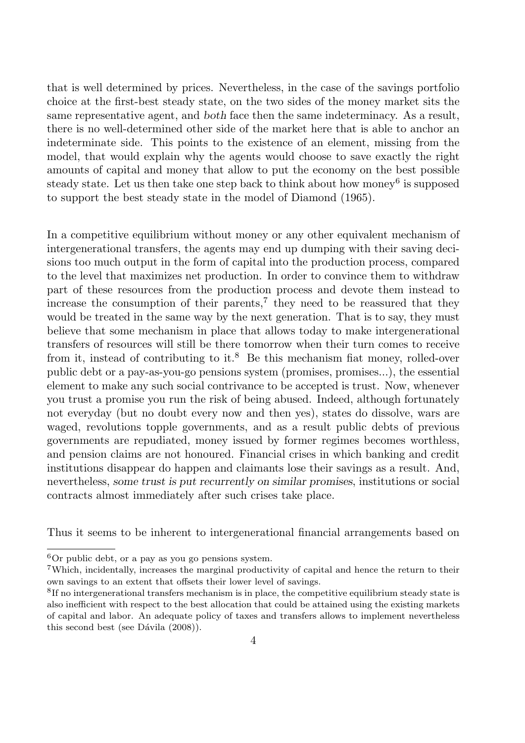that is well determined by prices. Nevertheless, in the case of the savings portfolio choice at the first-best steady state, on the two sides of the money market sits the same representative agent, and both face then the same indeterminacy. As a result, there is no well-determined other side of the market here that is able to anchor an indeterminate side. This points to the existence of an element, missing from the model, that would explain why the agents would choose to save exactly the right amounts of capital and money that allow to put the economy on the best possible steady state. Let us then take one step back to think about how money<sup>6</sup> is supposed to support the best steady state in the model of Diamond (1965).

In a competitive equilibrium without money or any other equivalent mechanism of intergenerational transfers, the agents may end up dumping with their saving decisions too much output in the form of capital into the production process, compared to the level that maximizes net production. In order to convince them to withdraw part of these resources from the production process and devote them instead to increase the consumption of their parents,<sup>7</sup> they need to be reassured that they would be treated in the same way by the next generation. That is to say, they must believe that some mechanism in place that allows today to make intergenerational transfers of resources will still be there tomorrow when their turn comes to receive from it, instead of contributing to it.<sup>8</sup> Be this mechanism fiat money, rolled-over public debt or a pay-as-you-go pensions system (promises, promises...), the essential element to make any such social contrivance to be accepted is trust. Now, whenever you trust a promise you run the risk of being abused. Indeed, although fortunately not everyday (but no doubt every now and then yes), states do dissolve, wars are waged, revolutions topple governments, and as a result public debts of previous governments are repudiated, money issued by former regimes becomes worthless, and pension claims are not honoured. Financial crises in which banking and credit institutions disappear do happen and claimants lose their savings as a result. And, nevertheless, some trust is put recurrently on similar promises, institutions or social contracts almost immediately after such crises take place.

Thus it seems to be inherent to intergenerational financial arrangements based on

 ${}^{6}$ Or public debt, or a pay as you go pensions system.

<sup>7</sup>Which, incidentally, increases the marginal productivity of capital and hence the return to their own savings to an extent that offsets their lower level of savings.

<sup>&</sup>lt;sup>8</sup>If no intergenerational transfers mechanism is in place, the competitive equilibrium steady state is also inefficient with respect to the best allocation that could be attained using the existing markets of capital and labor. An adequate policy of taxes and transfers allows to implement nevertheless this second best (see Dávila  $(2008)$ ).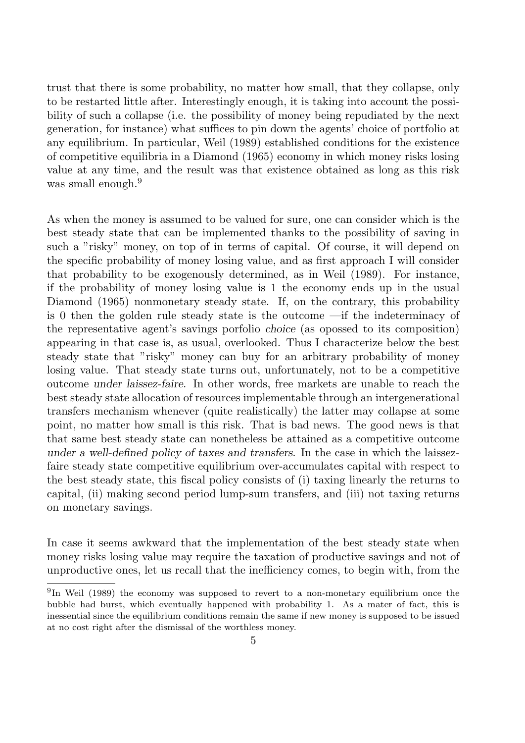trust that there is some probability, no matter how small, that they collapse, only to be restarted little after. Interestingly enough, it is taking into account the possibility of such a collapse (i.e. the possibility of money being repudiated by the next generation, for instance) what suffices to pin down the agents' choice of portfolio at any equilibrium. In particular, Weil (1989) established conditions for the existence of competitive equilibria in a Diamond (1965) economy in which money risks losing value at any time, and the result was that existence obtained as long as this risk was small enough.<sup>9</sup>

As when the money is assumed to be valued for sure, one can consider which is the best steady state that can be implemented thanks to the possibility of saving in such a "risky" money, on top of in terms of capital. Of course, it will depend on the specific probability of money losing value, and as first approach I will consider that probability to be exogenously determined, as in Weil (1989). For instance, if the probability of money losing value is 1 the economy ends up in the usual Diamond (1965) nonmonetary steady state. If, on the contrary, this probability is 0 then the golden rule steady state is the outcome —if the indeterminacy of the representative agent's savings porfolio choice (as opossed to its composition) appearing in that case is, as usual, overlooked. Thus I characterize below the best steady state that "risky" money can buy for an arbitrary probability of money losing value. That steady state turns out, unfortunately, not to be a competitive outcome under laissez-faire. In other words, free markets are unable to reach the best steady state allocation of resources implementable through an intergenerational transfers mechanism whenever (quite realistically) the latter may collapse at some point, no matter how small is this risk. That is bad news. The good news is that that same best steady state can nonetheless be attained as a competitive outcome under a well-defined policy of taxes and transfers. In the case in which the laissezfaire steady state competitive equilibrium over-accumulates capital with respect to the best steady state, this fiscal policy consists of (i) taxing linearly the returns to capital, (ii) making second period lump-sum transfers, and (iii) not taxing returns on monetary savings.

In case it seems awkward that the implementation of the best steady state when money risks losing value may require the taxation of productive savings and not of unproductive ones, let us recall that the inefficiency comes, to begin with, from the

<sup>&</sup>lt;sup>9</sup>In Weil (1989) the economy was supposed to revert to a non-monetary equilibrium once the bubble had burst, which eventually happened with probability 1. As a mater of fact, this is inessential since the equilibrium conditions remain the same if new money is supposed to be issued at no cost right after the dismissal of the worthless money.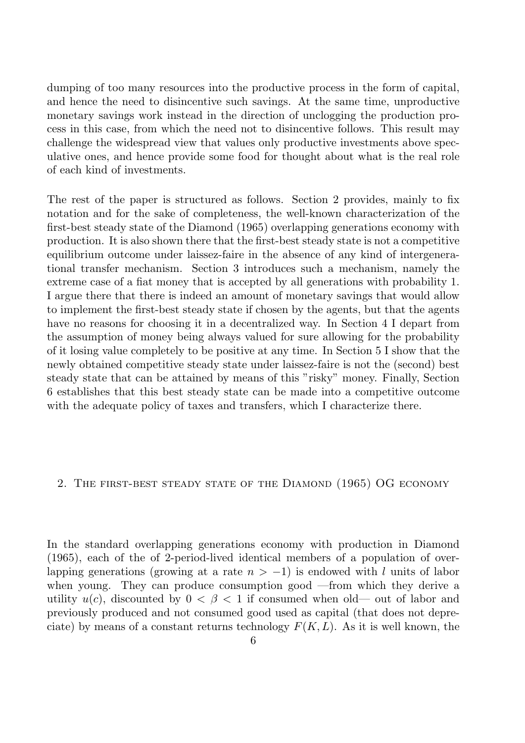dumping of too many resources into the productive process in the form of capital, and hence the need to disincentive such savings. At the same time, unproductive monetary savings work instead in the direction of unclogging the production process in this case, from which the need not to disincentive follows. This result may challenge the widespread view that values only productive investments above speculative ones, and hence provide some food for thought about what is the real role of each kind of investments.

The rest of the paper is structured as follows. Section 2 provides, mainly to fix notation and for the sake of completeness, the well-known characterization of the first-best steady state of the Diamond (1965) overlapping generations economy with production. It is also shown there that the first-best steady state is not a competitive equilibrium outcome under laissez-faire in the absence of any kind of intergenerational transfer mechanism. Section 3 introduces such a mechanism, namely the extreme case of a fiat money that is accepted by all generations with probability 1. I argue there that there is indeed an amount of monetary savings that would allow to implement the first-best steady state if chosen by the agents, but that the agents have no reasons for choosing it in a decentralized way. In Section 4 I depart from the assumption of money being always valued for sure allowing for the probability of it losing value completely to be positive at any time. In Section 5 I show that the newly obtained competitive steady state under laissez-faire is not the (second) best steady state that can be attained by means of this "risky" money. Finally, Section 6 establishes that this best steady state can be made into a competitive outcome with the adequate policy of taxes and transfers, which I characterize there.

#### 2. THE FIRST-BEST STEADY STATE OF THE DIAMOND (1965) OG ECONOMY

In the standard overlapping generations economy with production in Diamond (1965), each of the of 2-period-lived identical members of a population of overlapping generations (growing at a rate  $n > -1$ ) is endowed with l units of labor when young. They can produce consumption good —from which they derive a utility  $u(c)$ , discounted by  $0 < \beta < 1$  if consumed when old— out of labor and previously produced and not consumed good used as capital (that does not depreciate) by means of a constant returns technology  $F(K, L)$ . As it is well known, the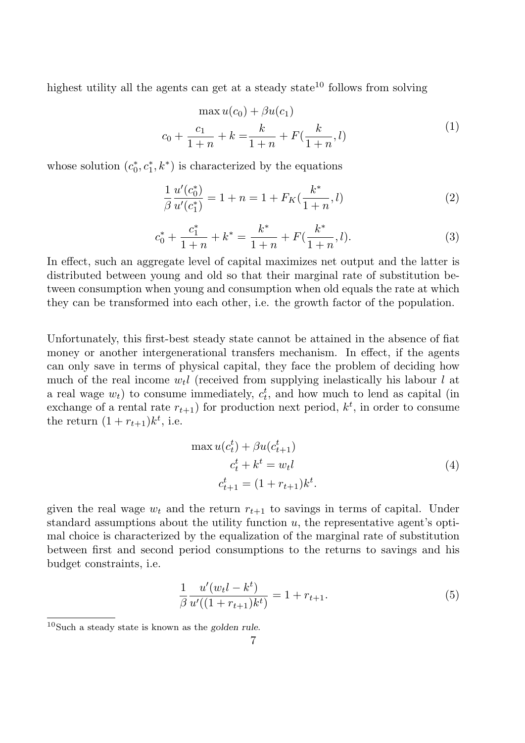highest utility all the agents can get at a steady state<sup>10</sup> follows from solving

$$
\max u(c_0) + \beta u(c_1)
$$
  

$$
c_0 + \frac{c_1}{1+n} + k = \frac{k}{1+n} + F(\frac{k}{1+n}, l)
$$
 (1)

whose solution  $(c_0^*)$  $\chi_0^*, c_1^*, k^*$  is characterized by the equations

$$
\frac{1}{\beta} \frac{u'(c_0^*)}{u'(c_1^*)} = 1 + n = 1 + F_K(\frac{k^*}{1+n}, l)
$$
\n(2)

$$
c_0^* + \frac{c_1^*}{1+n} + k^* = \frac{k^*}{1+n} + F(\frac{k^*}{1+n}, l). \tag{3}
$$

In effect, such an aggregate level of capital maximizes net output and the latter is distributed between young and old so that their marginal rate of substitution between consumption when young and consumption when old equals the rate at which they can be transformed into each other, i.e. the growth factor of the population.

Unfortunately, this first-best steady state cannot be attained in the absence of fiat money or another intergenerational transfers mechanism. In effect, if the agents can only save in terms of physical capital, they face the problem of deciding how much of the real income  $w_t$  (received from supplying inelastically his labour l at a real wage  $w_t$ ) to consume immediately,  $c_t^t$ , and how much to lend as capital (in exchange of a rental rate  $r_{t+1}$ ) for production next period,  $k^t$ , in order to consume the return  $(1 + r_{t+1})k^t$ , i.e.

$$
\max u(c_t^t) + \beta u(c_{t+1}^t)
$$
  
\n
$$
c_t^t + k^t = w_t l
$$
  
\n
$$
c_{t+1}^t = (1 + r_{t+1})k^t.
$$
\n(4)

given the real wage  $w_t$  and the return  $r_{t+1}$  to savings in terms of capital. Under standard assumptions about the utility function  $u$ , the representative agent's optimal choice is characterized by the equalization of the marginal rate of substitution between first and second period consumptions to the returns to savings and his budget constraints, i.e.

$$
\frac{1}{\beta} \frac{u'(w_t l - k^t)}{u'((1 + r_{t+1})k^t)} = 1 + r_{t+1}.
$$
\n(5)

 $10$ Such a steady state is known as the golden rule.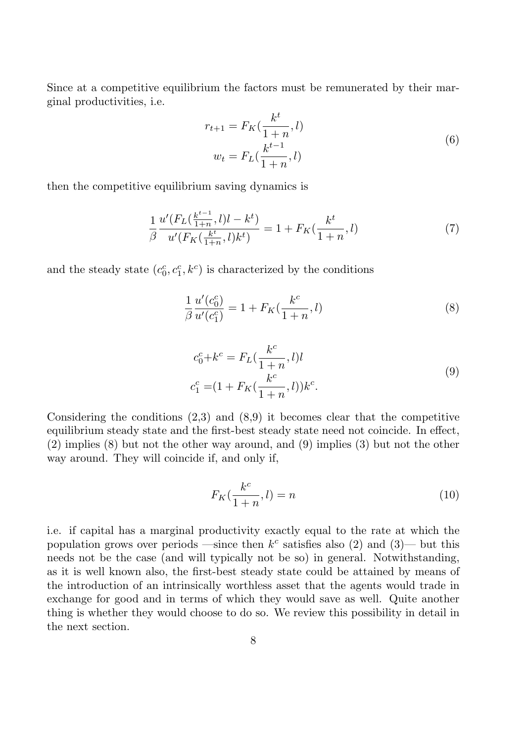Since at a competitive equilibrium the factors must be remunerated by their marginal productivities, i.e.

$$
r_{t+1} = F_K(\frac{k^t}{1+n}, l)
$$
  

$$
w_t = F_L(\frac{k^{t-1}}{1+n}, l)
$$
 (6)

then the competitive equilibrium saving dynamics is

$$
\frac{1}{\beta} \frac{u'(F_L(\frac{k^{t-1}}{1+n}, l)l - k^t)}{u'(F_K(\frac{k^t}{1+n}, l)k^t)} = 1 + F_K(\frac{k^t}{1+n}, l)
$$
\n(7)

and the steady state  $(c_0^c, c_1^c, k^c)$  is characterized by the conditions

$$
\frac{1}{\beta} \frac{u'(c_0^c)}{u'(c_1^c)} = 1 + F_K(\frac{k^c}{1+n}, l)
$$
\n(8)

$$
c_0^c + k^c = F_L(\frac{k^c}{1+n}, l)l
$$
  
\n
$$
c_1^c = (1 + F_K(\frac{k^c}{1+n}, l))k^c.
$$
\n(9)

Considering the conditions  $(2,3)$  and  $(8,9)$  it becomes clear that the competitive equilibrium steady state and the first-best steady state need not coincide. In effect, (2) implies (8) but not the other way around, and (9) implies (3) but not the other way around. They will coincide if, and only if,

$$
F_K(\frac{k^c}{1+n}, l) = n \tag{10}
$$

i.e. if capital has a marginal productivity exactly equal to the rate at which the population grows over periods —since then  $k^c$  satisfies also (2) and (3)— but this needs not be the case (and will typically not be so) in general. Notwithstanding, as it is well known also, the first-best steady state could be attained by means of the introduction of an intrinsically worthless asset that the agents would trade in exchange for good and in terms of which they would save as well. Quite another thing is whether they would choose to do so. We review this possibility in detail in the next section.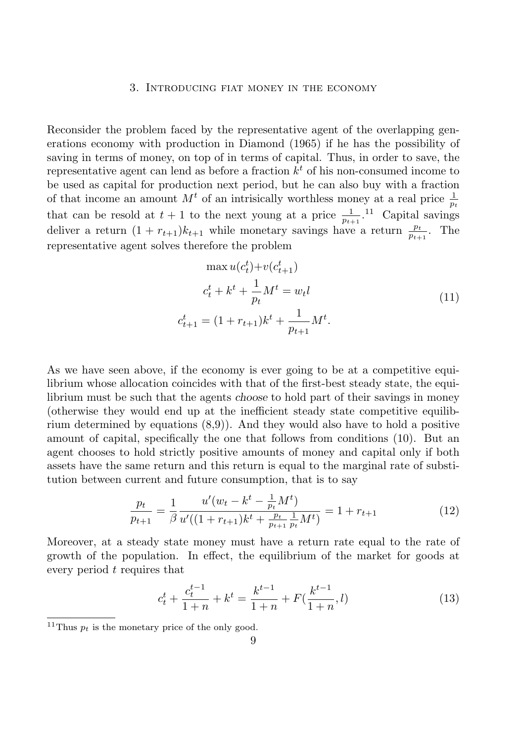#### 3. Introducing fiat money in the economy

Reconsider the problem faced by the representative agent of the overlapping generations economy with production in Diamond (1965) if he has the possibility of saving in terms of money, on top of in terms of capital. Thus, in order to save, the representative agent can lend as before a fraction  $k<sup>t</sup>$  of his non-consumed income to be used as capital for production next period, but he can also buy with a fraction of that income an amount  $M<sup>t</sup>$  of an intrisically worthless money at a real price  $\frac{1}{p_t}$ that can be resold at  $t + 1$  to the next young at a price  $\frac{1}{p_{t+1}}$ .<sup>11</sup> Capital savings deliver a return  $(1 + r_{t+1})k_{t+1}$  while monetary savings have a return  $\frac{p_t}{p_{t+1}}$ . The representative agent solves therefore the problem

$$
\max u(c_t^t) + v(c_{t+1}^t)
$$
  
\n
$$
c_t^t + k^t + \frac{1}{p_t} M^t = w_t l
$$
  
\n
$$
c_{t+1}^t = (1 + r_{t+1})k^t + \frac{1}{p_{t+1}} M^t.
$$
\n(11)

As we have seen above, if the economy is ever going to be at a competitive equilibrium whose allocation coincides with that of the first-best steady state, the equilibrium must be such that the agents choose to hold part of their savings in money (otherwise they would end up at the inefficient steady state competitive equilibrium determined by equations (8,9)). And they would also have to hold a positive amount of capital, specifically the one that follows from conditions (10). But an agent chooses to hold strictly positive amounts of money and capital only if both assets have the same return and this return is equal to the marginal rate of substitution between current and future consumption, that is to say

$$
\frac{p_t}{p_{t+1}} = \frac{1}{\beta} \frac{u'(w_t - k^t - \frac{1}{p_t} M^t)}{u'((1 + r_{t+1})k^t + \frac{p_t}{p_{t+1}} \frac{1}{p_t} M^t)} = 1 + r_{t+1}
$$
(12)

Moreover, at a steady state money must have a return rate equal to the rate of growth of the population. In effect, the equilibrium of the market for goods at every period t requires that

$$
c_t^t + \frac{c_t^{t-1}}{1+n} + k^t = \frac{k^{t-1}}{1+n} + F(\frac{k^{t-1}}{1+n}, l)
$$
\n(13)

<sup>&</sup>lt;sup>11</sup>Thus  $p_t$  is the monetary price of the only good.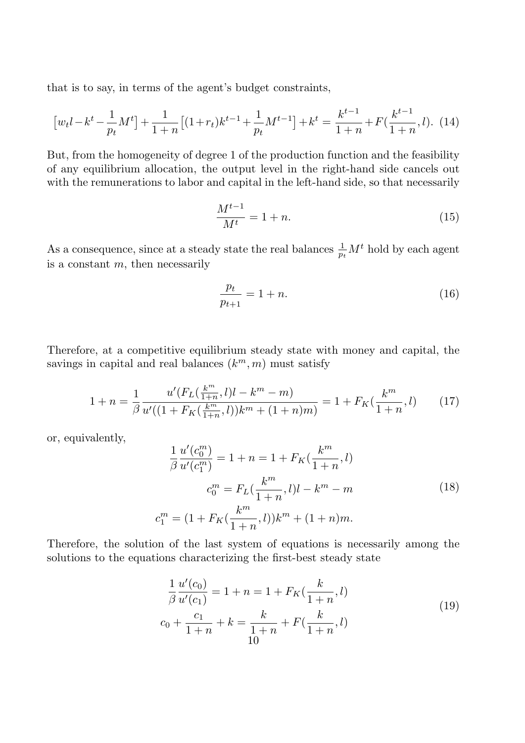that is to say, in terms of the agent's budget constraints,

$$
\left[w_t l - k^t - \frac{1}{p_t} M^t\right] + \frac{1}{1+n} \left[(1+r_t)k^{t-1} + \frac{1}{p_t} M^{t-1}\right] + k^t = \frac{k^{t-1}}{1+n} + F\left(\frac{k^{t-1}}{1+n}, l\right). \tag{14}
$$

But, from the homogeneity of degree 1 of the production function and the feasibility of any equilibrium allocation, the output level in the right-hand side cancels out with the remunerations to labor and capital in the left-hand side, so that necessarily

$$
\frac{M^{t-1}}{M^t} = 1 + n.\t\t(15)
$$

As a consequence, since at a steady state the real balances  $\frac{1}{p_t}M^t$  hold by each agent is a constant  $m$ , then necessarily

$$
\frac{p_t}{p_{t+1}} = 1 + n.\t\t(16)
$$

Therefore, at a competitive equilibrium steady state with money and capital, the savings in capital and real balances  $(k<sup>m</sup>, m)$  must satisfy

$$
1 + n = \frac{1}{\beta} \frac{u'(F_L(\frac{k^m}{1+n}, l)l - k^m - m)}{u'((1 + F_K(\frac{k^m}{1+n}, l))k^m + (1+n)m)} = 1 + F_K(\frac{k^m}{1+n}, l)
$$
(17)

or, equivalently,

$$
\frac{1}{\beta} \frac{u'(c_0^m)}{u'(c_1^m)} = 1 + n = 1 + F_K(\frac{k^m}{1+n}, l)
$$

$$
c_0^m = F_L(\frac{k^m}{1+n}, l)l - k^m - m
$$

$$
c_1^m = (1 + F_K(\frac{k^m}{1+n}, l))k^m + (1+n)m.
$$
 (18)

Therefore, the solution of the last system of equations is necessarily among the solutions to the equations characterizing the first-best steady state

$$
\frac{1}{\beta} \frac{u'(c_0)}{u'(c_1)} = 1 + n = 1 + F_K(\frac{k}{1+n}, l)
$$
  

$$
c_0 + \frac{c_1}{1+n} + k = \frac{k}{1+n} + F(\frac{k}{1+n}, l)
$$
 (19)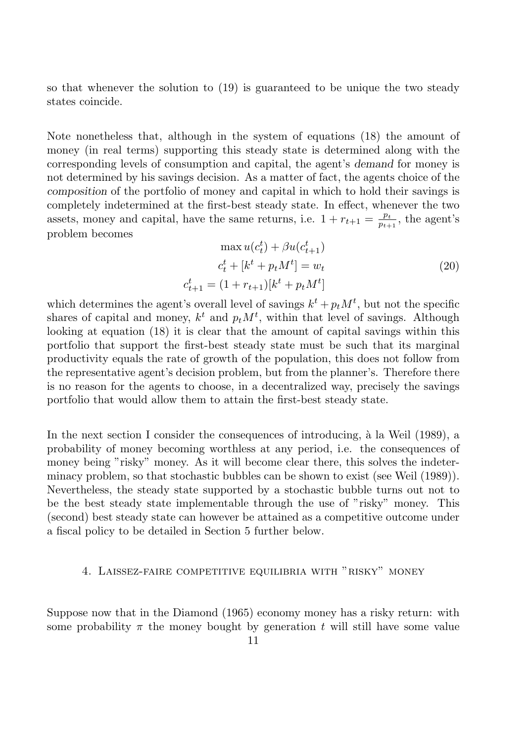so that whenever the solution to (19) is guaranteed to be unique the two steady states coincide.

Note nonetheless that, although in the system of equations (18) the amount of money (in real terms) supporting this steady state is determined along with the corresponding levels of consumption and capital, the agent's demand for money is not determined by his savings decision. As a matter of fact, the agents choice of the composition of the portfolio of money and capital in which to hold their savings is completely indetermined at the first-best steady state. In effect, whenever the two assets, money and capital, have the same returns, i.e.  $1 + r_{t+1} = \frac{p_t}{p_{t+1}}$  $\frac{p_t}{p_{t+1}},$  the agent's problem becomes

$$
\max u(c_t^t) + \beta u(c_{t+1}^t)
$$
  
\n
$$
c_t^t + [k^t + p_t M^t] = w_t
$$
  
\n
$$
c_{t+1}^t = (1 + r_{t+1})[k^t + p_t M^t]
$$
\n(20)

which determines the agent's overall level of savings  $k^t + p_t M^t$ , but not the specific shares of capital and money,  $k^t$  and  $p_t M^t$ , within that level of savings. Although looking at equation (18) it is clear that the amount of capital savings within this portfolio that support the first-best steady state must be such that its marginal productivity equals the rate of growth of the population, this does not follow from the representative agent's decision problem, but from the planner's. Therefore there is no reason for the agents to choose, in a decentralized way, precisely the savings portfolio that would allow them to attain the first-best steady state.

In the next section I consider the consequences of introducing,  $\hat{a}$  la Weil (1989), a probability of money becoming worthless at any period, i.e. the consequences of money being "risky" money. As it will become clear there, this solves the indeterminacy problem, so that stochastic bubbles can be shown to exist (see Weil (1989)). Nevertheless, the steady state supported by a stochastic bubble turns out not to be the best steady state implementable through the use of "risky" money. This (second) best steady state can however be attained as a competitive outcome under a fiscal policy to be detailed in Section 5 further below.

# 4. Laissez-faire competitive equilibria with "risky" money

Suppose now that in the Diamond (1965) economy money has a risky return: with some probability  $\pi$  the money bought by generation t will still have some value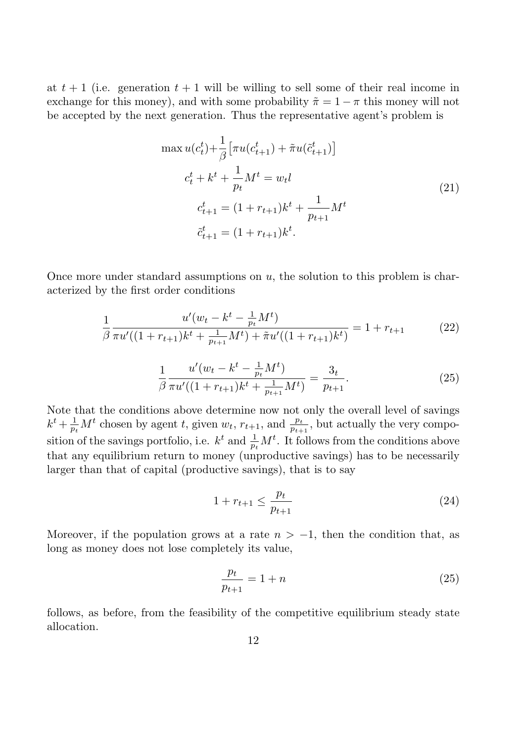at  $t + 1$  (i.e. generation  $t + 1$  will be willing to sell some of their real income in exchange for this money), and with some probability  $\tilde{\pi} = 1 - \pi$  this money will not be accepted by the next generation. Thus the representative agent's problem is

$$
\max u(c_t^t) + \frac{1}{\beta} \left[ \pi u(c_{t+1}^t) + \tilde{\pi} u(\tilde{c}_{t+1}^t) \right]
$$
  
\n
$$
c_t^t + k^t + \frac{1}{p_t} M^t = w_t l
$$
  
\n
$$
c_{t+1}^t = (1 + r_{t+1})k^t + \frac{1}{p_{t+1}} M^t
$$
  
\n
$$
\tilde{c}_{t+1}^t = (1 + r_{t+1})k^t.
$$
\n(21)

Once more under standard assumptions on  $u$ , the solution to this problem is characterized by the first order conditions

$$
\frac{1}{\beta} \frac{u'(w_t - k^t - \frac{1}{p_t} M^t)}{\pi u'((1 + r_{t+1})k^t + \frac{1}{p_{t+1}} M^t) + \tilde{\pi} u'((1 + r_{t+1})k^t)} = 1 + r_{t+1}
$$
\n(22)

$$
\frac{1}{\beta} \frac{u'(w_t - k^t - \frac{1}{p_t} M^t)}{\pi u'((1 + r_{t+1})k^t + \frac{1}{p_{t+1}} M^t)} = \frac{3_t}{p_{t+1}}.
$$
\n(25)

Note that the conditions above determine now not only the overall level of savings  $k^t + \frac{1}{n}$  $\frac{1}{p_t}M^t$  chosen by agent t, given  $w_t$ ,  $r_{t+1}$ , and  $\frac{p_t}{p_{t+1}}$ , but actually the very composition of the savings portfolio, i.e.  $k^t$  and  $\frac{1}{p_t}M^t$ . It follows from the conditions above that any equilibrium return to money (unproductive savings) has to be necessarily larger than that of capital (productive savings), that is to say

$$
1 + r_{t+1} \le \frac{p_t}{p_{t+1}} \tag{24}
$$

Moreover, if the population grows at a rate  $n > -1$ , then the condition that, as long as money does not lose completely its value,

$$
\frac{p_t}{p_{t+1}} = 1 + n \tag{25}
$$

follows, as before, from the feasibility of the competitive equilibrium steady state allocation.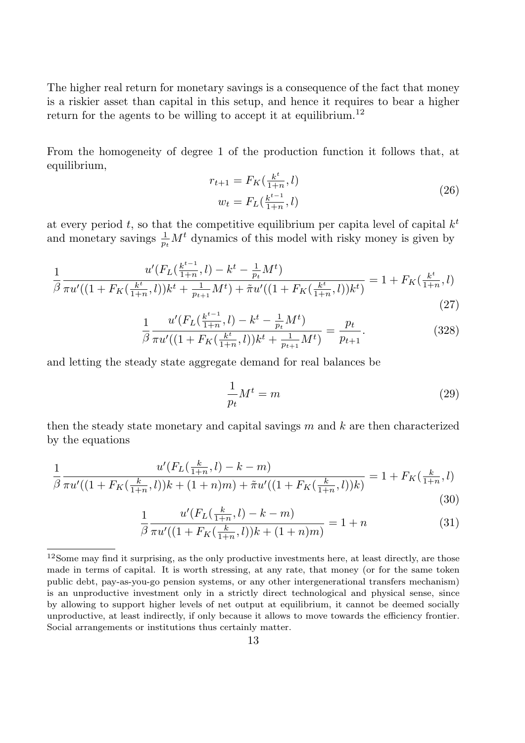The higher real return for monetary savings is a consequence of the fact that money is a riskier asset than capital in this setup, and hence it requires to bear a higher return for the agents to be willing to accept it at equilibrium.<sup>12</sup>

From the homogeneity of degree 1 of the production function it follows that, at equilibrium,

$$
r_{t+1} = F_K(\frac{k^t}{1+n}, l)
$$
  

$$
w_t = F_L(\frac{k^{t-1}}{1+n}, l)
$$
 (26)

at every period t, so that the competitive equilibrium per capital level of capital  $k<sup>t</sup>$ and monetary savings  $\frac{1}{p_t}M^t$  dynamics of this model with risky money is given by

$$
\frac{1}{\beta} \frac{u'(F_L(\frac{k^{t-1}}{1+n}, l) - k^t - \frac{1}{p_t} M^t)}{\pi u'((1 + F_K(\frac{k^t}{1+n}, l))k^t + \frac{1}{p_{t+1}} M^t) + \tilde{\pi} u'((1 + F_K(\frac{k^t}{1+n}, l))k^t)} = 1 + F_K(\frac{k^t}{1+n}, l)
$$
\n(27)

$$
\frac{1}{\beta} \frac{u'(F_L(\frac{k^{t-1}}{1+n}, l) - k^t - \frac{1}{p_t} M^t)}{\pi u'((1 + F_K(\frac{k^t}{1+n}, l))k^t + \frac{1}{p_{t+1}} M^t)} = \frac{p_t}{p_{t+1}}.\tag{328}
$$

and letting the steady state aggregate demand for real balances be

$$
\frac{1}{p_t}M^t = m \tag{29}
$$

then the steady state monetary and capital savings  $m$  and  $k$  are then characterized by the equations

$$
\frac{1}{\beta} \frac{u'(F_L(\frac{k}{1+n}, l) - k - m)}{\pi u'((1 + F_K(\frac{k}{1+n}, l))k + (1+n)m) + \tilde{\pi}u'((1 + F_K(\frac{k}{1+n}, l))k)} = 1 + F_K(\frac{k}{1+n}, l)
$$
\n(30)

$$
\frac{1}{\beta} \frac{u'(F_L(\frac{k}{1+n}, l) - k - m)}{\pi u'((1 + F_K(\frac{k}{1+n}, l))k + (1 + n)m)} = 1 + n
$$
\n(31)

<sup>&</sup>lt;sup>12</sup>Some may find it surprising, as the only productive investments here, at least directly, are those made in terms of capital. It is worth stressing, at any rate, that money (or for the same token public debt, pay-as-you-go pension systems, or any other intergenerational transfers mechanism) is an unproductive investment only in a strictly direct technological and physical sense, since by allowing to support higher levels of net output at equilibrium, it cannot be deemed socially unproductive, at least indirectly, if only because it allows to move towards the efficiency frontier. Social arrangements or institutions thus certainly matter.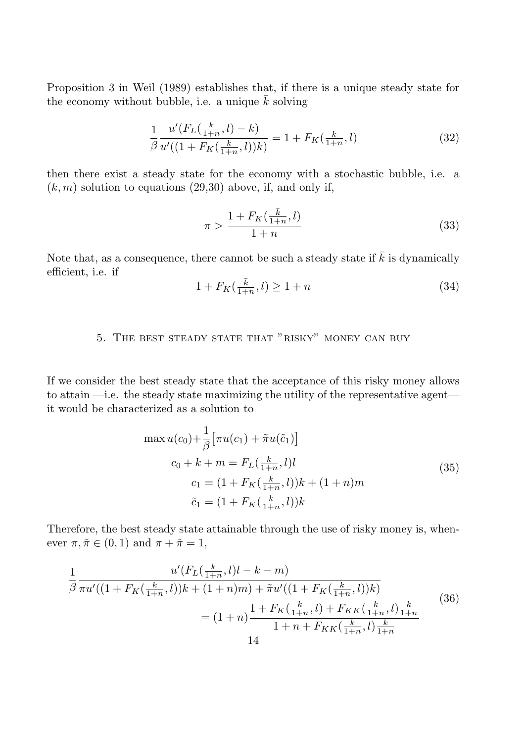Proposition 3 in Weil (1989) establishes that, if there is a unique steady state for the economy without bubble, i.e. a unique  $k$  solving

$$
\frac{1}{\beta} \frac{u'(F_L(\frac{k}{1+n}, l) - k)}{u'((1 + F_K(\frac{k}{1+n}, l))k)} = 1 + F_K(\frac{k}{1+n}, l)
$$
\n(32)

then there exist a steady state for the economy with a stochastic bubble, i.e. a  $(k, m)$  solution to equations (29,30) above, if, and only if,

$$
\pi > \frac{1 + F_K(\frac{\bar{k}}{1+n}, l)}{1+n} \tag{33}
$$

Note that, as a consequence, there cannot be such a steady state if  $\overline{k}$  is dynamically efficient, i.e. if

$$
1 + F_K(\frac{\bar{k}}{1+n}, l) \ge 1+n \tag{34}
$$

# 5. The best steady state that "risky" money can buy

If we consider the best steady state that the acceptance of this risky money allows to attain —i.e. the steady state maximizing the utility of the representative agent it would be characterized as a solution to

$$
\max u(c_0) + \frac{1}{\beta} \left[ \pi u(c_1) + \tilde{\pi} u(\tilde{c}_1) \right]
$$
  
\n
$$
c_0 + k + m = F_L(\frac{k}{1+n}, l)l
$$
  
\n
$$
c_1 = (1 + F_K(\frac{k}{1+n}, l))k + (1+n)m
$$
  
\n
$$
\tilde{c}_1 = (1 + F_K(\frac{k}{1+n}, l))k
$$
 (35)

Therefore, the best steady state attainable through the use of risky money is, whenever  $\pi, \tilde{\pi} \in (0, 1)$  and  $\pi + \tilde{\pi} = 1$ ,

$$
\frac{1}{\beta} \frac{u'(F_L(\frac{k}{1+n}, l)l - k - m)}{\pi u'((1 + F_K(\frac{k}{1+n}, l))k + (1+n)m) + \tilde{\pi}u'((1 + F_K(\frac{k}{1+n}, l))k)} \\
= (1+n) \frac{1 + F_K(\frac{k}{1+n}, l) + F_{KK}(\frac{k}{1+n}, l)\frac{k}{1+n}}{1 + n + F_{KK}(\frac{k}{1+n}, l)\frac{k}{1+n}}\n\tag{36}
$$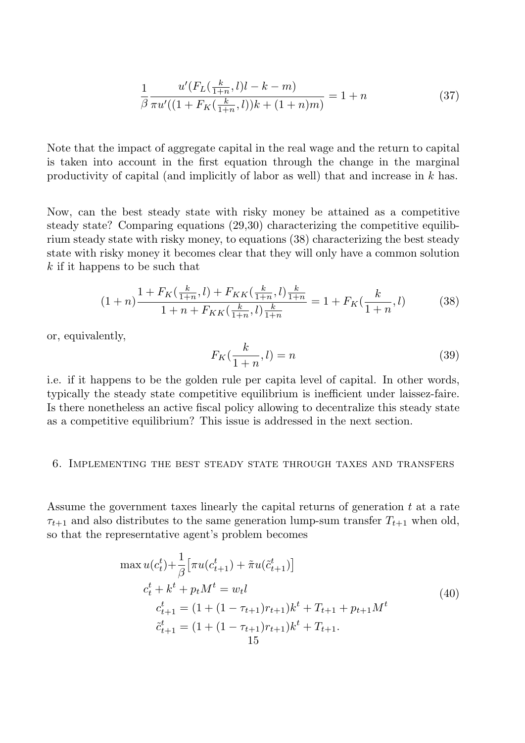$$
\frac{1}{\beta} \frac{u'(F_L(\frac{k}{1+n}, l)l - k - m)}{\pi u'((1 + F_K(\frac{k}{1+n}, l))k + (1+n)m)} = 1 + n
$$
\n(37)

Note that the impact of aggregate capital in the real wage and the return to capital is taken into account in the first equation through the change in the marginal productivity of capital (and implicitly of labor as well) that and increase in k has.

Now, can the best steady state with risky money be attained as a competitive steady state? Comparing equations (29,30) characterizing the competitive equilibrium steady state with risky money, to equations (38) characterizing the best steady state with risky money it becomes clear that they will only have a common solution  $k$  if it happens to be such that

$$
(1+n)\frac{1 + F_K(\frac{k}{1+n}, l) + F_{KK}(\frac{k}{1+n}, l)\frac{k}{1+n}}{1 + n + F_{KK}(\frac{k}{1+n}, l)\frac{k}{1+n}} = 1 + F_K(\frac{k}{1+n}, l)
$$
(38)

or, equivalently,

$$
F_K(\frac{k}{1+n}, l) = n \tag{39}
$$

i.e. if it happens to be the golden rule per capita level of capital. In other words, typically the steady state competitive equilibrium is inefficient under laissez-faire. Is there nonetheless an active fiscal policy allowing to decentralize this steady state as a competitive equilibrium? This issue is addressed in the next section.

#### 6. Implementing the best steady state through taxes and transfers

Assume the government taxes linearly the capital returns of generation  $t$  at a rate  $\tau_{t+1}$  and also distributes to the same generation lump-sum transfer  $T_{t+1}$  when old, so that the represerntative agent's problem becomes

$$
\max u(c_t^t) + \frac{1}{\beta} \left[ \pi u(c_{t+1}^t) + \tilde{\pi} u(\tilde{c}_{t+1}^t) \right]
$$
  
\n
$$
c_t^t + k^t + p_t M^t = w_t l
$$
  
\n
$$
c_{t+1}^t = (1 + (1 - \tau_{t+1})r_{t+1})k^t + T_{t+1} + p_{t+1} M^t
$$
  
\n
$$
\tilde{c}_{t+1}^t = (1 + (1 - \tau_{t+1})r_{t+1})k^t + T_{t+1}.
$$
  
\n
$$
15
$$
\n(40)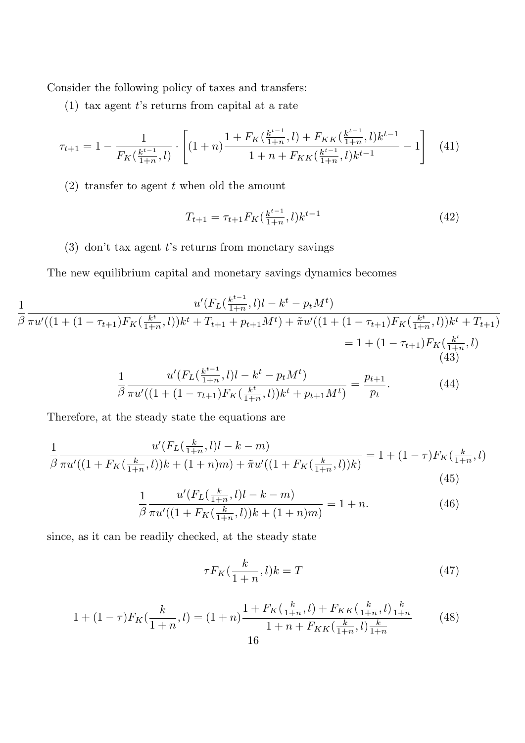Consider the following policy of taxes and transfers:

(1) tax agent  $t$ 's returns from capital at a rate

$$
\tau_{t+1} = 1 - \frac{1}{F_K(\frac{k^{t-1}}{1+n}, l)} \cdot \left[ (1+n) \frac{1 + F_K(\frac{k^{t-1}}{1+n}, l) + F_{KK}(\frac{k^{t-1}}{1+n}, l) k^{t-1}}{1 + n + F_{KK}(\frac{k^{t-1}}{1+n}, l) k^{t-1}} - 1 \right] \tag{41}
$$

(2) transfer to agent  $t$  when old the amount

$$
T_{t+1} = \tau_{t+1} F_K(\frac{k^{t-1}}{1+n}, l) k^{t-1}
$$
\n(42)

# (3) don't tax agent  $t$ 's returns from monetary savings

The new equilibrium capital and monetary savings dynamics becomes

$$
\frac{1}{\beta} \frac{u'(F_L(\frac{k^{t-1}}{1+n}, l)l - k^t - p_t M^t)}{\pi u'((1 + (1 - \tau_{t+1})F_K(\frac{k^t}{1+n}, l))k^t + T_{t+1} + p_{t+1} M^t) + \tilde{\pi}u'((1 + (1 - \tau_{t+1})F_K(\frac{k^t}{1+n}, l))k^t + T_{t+1})}
$$
\n
$$
= 1 + (1 - \tau_{t+1})F_K(\frac{k^t}{1+n}, l)
$$
\n(43)\n
$$
u'(F_L(\frac{k^{t-1}}{1+n}, l)l - k^t - p_t M^t) \qquad p_{t+1}
$$
\n(44)

$$
\frac{1}{\beta} \frac{u'(F_L(\frac{\kappa}{1+n}, l)l - k^t - p_t M^t)}{\pi u'((1 + (1 - \tau_{t+1})F_K(\frac{k^t}{1+n}, l))k^t + p_{t+1} M^t)} = \frac{p_{t+1}}{p_t}.
$$
\n(44)

Therefore, at the steady state the equations are

$$
\frac{1}{\beta} \frac{u'(F_L(\frac{k}{1+n}, l)l - k - m)}{\pi u'((1 + F_K(\frac{k}{1+n}, l))k + (1+n)m) + \tilde{\pi}u'((1 + F_K(\frac{k}{1+n}, l))k)} = 1 + (1 - \tau)F_K(\frac{k}{1+n}, l)
$$
\n(45)

$$
\frac{1}{\beta} \frac{u'(F_L(\frac{k}{1+n}, l)l - k - m)}{\pi u'((1 + F_K(\frac{k}{1+n}, l))k + (1+n)m)} = 1 + n.
$$
\n(46)

since, as it can be readily checked, at the steady state

$$
\tau F_K(\frac{k}{1+n}, l)k = T \tag{47}
$$

$$
1 + (1 - \tau)F_K(\frac{k}{1+n}, l) = (1+n)\frac{1 + F_K(\frac{k}{1+n}, l) + F_{KK}(\frac{k}{1+n}, l)\frac{k}{1+n}}{1 + n + F_{KK}(\frac{k}{1+n}, l)\frac{k}{1+n}}
$$
(48)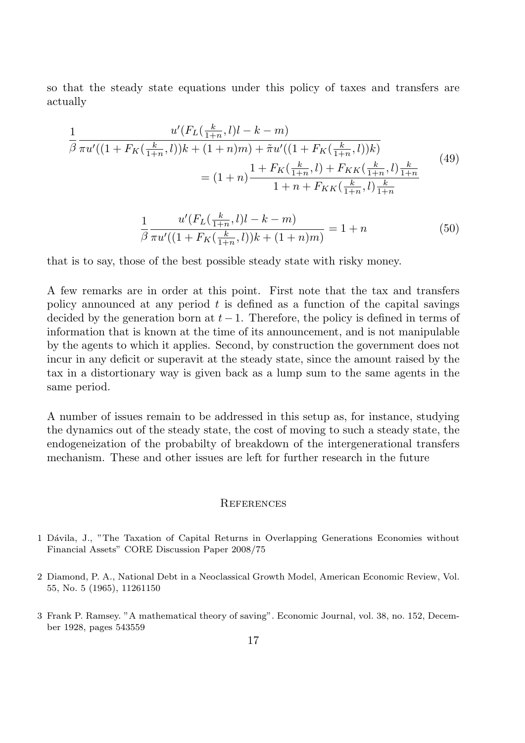so that the steady state equations under this policy of taxes and transfers are actually

$$
\frac{1}{\beta} \frac{u'(F_L(\frac{k}{1+n}, l)l - k - m)}{\pi u'((1 + F_K(\frac{k}{1+n}, l))k + (1+n)m) + \tilde{\pi}u'((1 + F_K(\frac{k}{1+n}, l))k)} \\
= (1+n) \frac{1 + F_K(\frac{k}{1+n}, l) + F_{KK}(\frac{k}{1+n}, l)\frac{k}{1+n}}{1 + n + F_{KK}(\frac{k}{1+n}, l)\frac{k}{1+n}}\n\tag{49}
$$

$$
\frac{1}{\beta} \frac{u'(F_L(\frac{k}{1+n}, l)l - k - m)}{\pi u'((1 + F_K(\frac{k}{1+n}, l))k + (1+n)m)} = 1 + n
$$
\n(50)

that is to say, those of the best possible steady state with risky money.

A few remarks are in order at this point. First note that the tax and transfers policy announced at any period  $t$  is defined as a function of the capital savings decided by the generation born at  $t-1$ . Therefore, the policy is defined in terms of information that is known at the time of its announcement, and is not manipulable by the agents to which it applies. Second, by construction the government does not incur in any deficit or superavit at the steady state, since the amount raised by the tax in a distortionary way is given back as a lump sum to the same agents in the same period.

A number of issues remain to be addressed in this setup as, for instance, studying the dynamics out of the steady state, the cost of moving to such a steady state, the endogeneization of the probabilty of breakdown of the intergenerational transfers mechanism. These and other issues are left for further research in the future

## **REFERENCES**

- 1 D´avila, J., "The Taxation of Capital Returns in Overlapping Generations Economies without Financial Assets" CORE Discussion Paper 2008/75
- 2 Diamond, P. A., National Debt in a Neoclassical Growth Model, American Economic Review, Vol. 55, No. 5 (1965), 11261150
- 3 Frank P. Ramsey. "A mathematical theory of saving". Economic Journal, vol. 38, no. 152, December 1928, pages 543559